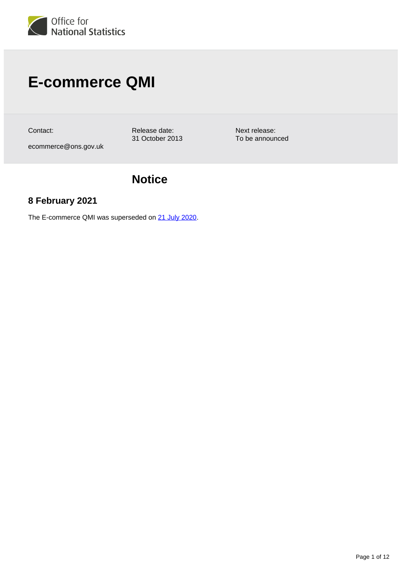

# **E-commerce QMI**

Contact:

Release date: 31 October 2013

Next release: To be announced

ecommerce@ons.gov.uk

## **Notice**

## **8 February 2021**

The E-commerce QMI was superseded on [21 July 2020](https://www.ons.gov.uk/businessindustryandtrade/itandinternetindustry/methodologies/ecommerceandictactivityqmi).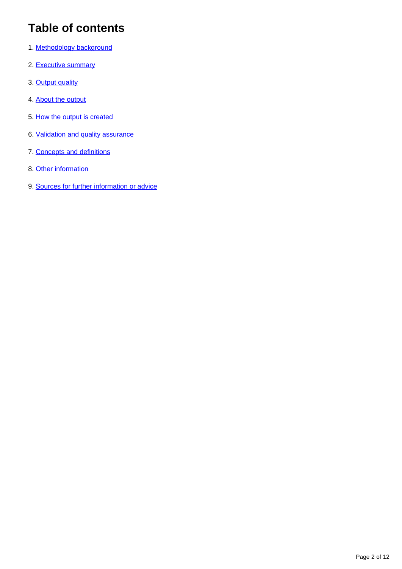## **Table of contents**

- 1. [Methodology background](#page-2-0)
- 2. [Executive summary](#page-2-1)
- 3. [Output quality](#page-3-0)
- 4. [About the output](#page-3-1)
- 5. [How the output is created](#page-5-0)
- 6. [Validation and quality assurance](#page-8-0)
- 7. [Concepts and definitions](#page-9-0)
- 8. [Other information](#page-10-0)
- 9. [Sources for further information or advice](#page-10-1)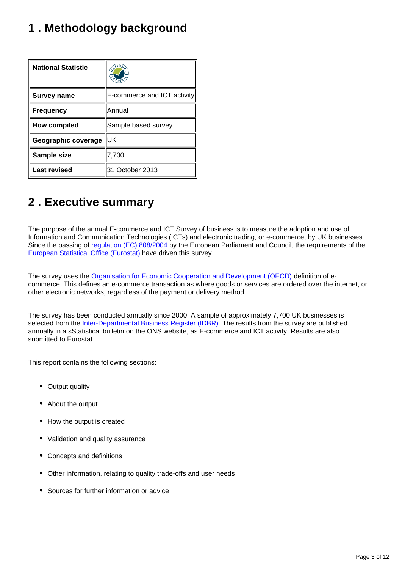## <span id="page-2-0"></span>**1 . Methodology background**

| <b>National Statistic</b> |                             |  |
|---------------------------|-----------------------------|--|
| <b>Survey name</b>        | E-commerce and ICT activity |  |
| <b>Frequency</b>          | Annual                      |  |
| <b>How compiled</b>       | Sample based survey         |  |
| Geographic coverage       | luк                         |  |
| Sample size               | 7,700                       |  |
| <b>Last revised</b>       | 31 October 2013             |  |

## <span id="page-2-1"></span>**2 . Executive summary**

The purpose of the annual E-commerce and ICT Survey of business is to measure the adoption and use of Information and Communication Technologies (ICTs) and electronic trading, or e-commerce, by UK businesses. Since the passing of [regulation \(EC\) 808/2004](http://eur-lex.europa.eu/legal-content/EN/TXT/?uri=celex:32004R0808) by the European Parliament and Council, the requirements of the [European Statistical Office \(Eurostat\)](http://ec.europa.eu/eurostat) have driven this survey.

The survey uses the [Organisation for Economic Cooperation and Development \(OECD\)](http://www.oecd.org/) definition of ecommerce. This defines an e-commerce transaction as where goods or services are ordered over the internet, or other electronic networks, regardless of the payment or delivery method.

The survey has been conducted annually since 2000. A sample of approximately 7,700 UK businesses is selected from the [Inter-Departmental Business Register \(IDBR\).](https://www.ons.gov.uk/aboutus/whatwedo/paidservices/interdepartmentalbusinessregisteridbr) The results from the survey are published annually in a sStatistical bulletin on the ONS website, as E-commerce and ICT activity. Results are also submitted to Eurostat.

This report contains the following sections:

- Output quality
- About the output
- How the output is created
- Validation and quality assurance
- Concepts and definitions
- Other information, relating to quality trade-offs and user needs
- Sources for further information or advice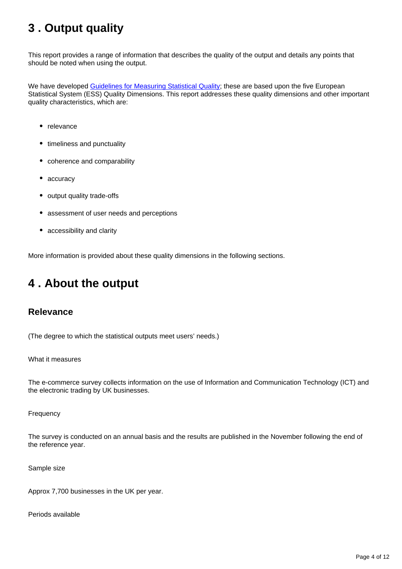## <span id="page-3-0"></span>**3 . Output quality**

This report provides a range of information that describes the quality of the output and details any points that should be noted when using the output.

We have developed [Guidelines for Measuring Statistical Quality;](http://webarchive.nationalarchives.gov.uk/20160105160709/http:/www.ons.gov.uk/ons/guide-method/method-quality/quality/guidelines-for-measuring-statistical-quality/index.html) these are based upon the five European Statistical System (ESS) Quality Dimensions. This report addresses these quality dimensions and other important quality characteristics, which are:

- relevance
- timeliness and punctuality
- coherence and comparability
- accuracy
- output quality trade-offs
- assessment of user needs and perceptions
- accessibility and clarity

More information is provided about these quality dimensions in the following sections.

## <span id="page-3-1"></span>**4 . About the output**

### **Relevance**

(The degree to which the statistical outputs meet users' needs.)

What it measures

The e-commerce survey collects information on the use of Information and Communication Technology (ICT) and the electronic trading by UK businesses.

Frequency

The survey is conducted on an annual basis and the results are published in the November following the end of the reference year.

Sample size

Approx 7,700 businesses in the UK per year.

Periods available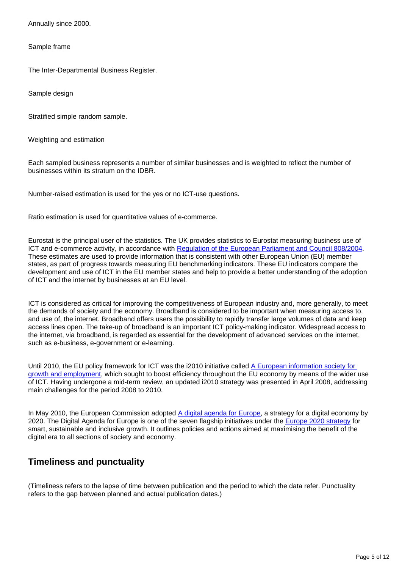Annually since 2000.

Sample frame

The Inter-Departmental Business Register.

Sample design

Stratified simple random sample.

Weighting and estimation

Each sampled business represents a number of similar businesses and is weighted to reflect the number of businesses within its stratum on the IDBR.

Number-raised estimation is used for the yes or no ICT-use questions.

Ratio estimation is used for quantitative values of e-commerce.

Eurostat is the principal user of the statistics. The UK provides statistics to Eurostat measuring business use of ICT and e-commerce activity, in accordance with [Regulation of the European Parliament and Council 808/2004.](http://eur-lex.europa.eu/LexUriServ/LexUriServ.do?uri=OJ%3AL%3A2004%3A143%3A0049%3A0055%3AEN%3APDF) These estimates are used to provide information that is consistent with other European Union (EU) member states, as part of progress towards measuring EU benchmarking indicators. These EU indicators compare the development and use of ICT in the EU member states and help to provide a better understanding of the adoption of ICT and the internet by businesses at an EU level.

ICT is considered as critical for improving the competitiveness of European industry and, more generally, to meet the demands of society and the economy. Broadband is considered to be important when measuring access to, and use of, the internet. Broadband offers users the possibility to rapidly transfer large volumes of data and keep access lines open. The take-up of broadband is an important ICT policy-making indicator. Widespread access to the internet, via broadband, is regarded as essential for the development of advanced services on the internet, such as e-business, e-government or e-learning.

Until 2010, the EU policy framework for ICT was the i2010 initiative called A European information society for [growth and employment,](http://eur-lex.europa.eu/LexUriServ/LexUriServ.do?uri=CELEX%3A52005DC0229%3AEN%3ANOT) which sought to boost efficiency throughout the EU economy by means of the wider use of ICT. Having undergone a mid-term review, an updated i2010 strategy was presented in April 2008, addressing main challenges for the period 2008 to 2010.

In May 2010, the European Commission adopted [A digital agenda for Europe,](http://eur-lex.europa.eu/LexUriServ/LexUriServ.do?uri=CELEX%3A52010DC0245R(01)%3AEN%3ANOT) a strategy for a digital economy by 2020. The Digital Agenda for Europe is one of the seven flagship initiatives under the [Europe 2020 strategy](http://ec.europa.eu/europe2020/index_en.htm) for smart, sustainable and inclusive growth. It outlines policies and actions aimed at maximising the benefit of the digital era to all sections of society and economy.

### **Timeliness and punctuality**

(Timeliness refers to the lapse of time between publication and the period to which the data refer. Punctuality refers to the gap between planned and actual publication dates.)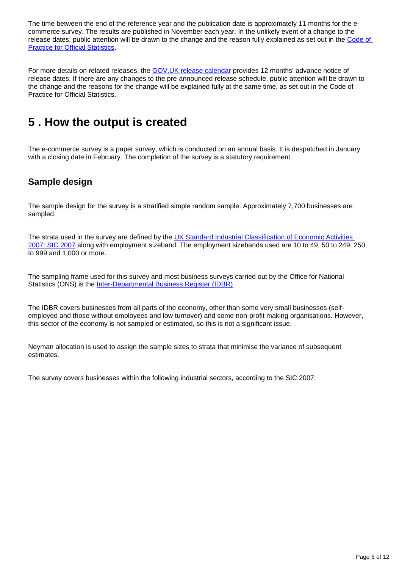The time between the end of the reference year and the publication date is approximately 11 months for the ecommerce survey. The results are published in November each year. In the unlikely event of a change to the release dates, public attention will be drawn to the change and the reason fully explained as set out in the Code of **[Practice for Official Statistics.](http://www.statisticsauthority.gov.uk/assessment/code-of-practice/index.html)** 

For more details on related releases, the [GOV.UK release calendar](https://www.gov.uk/government/statistics/announcements) provides 12 months' advance notice of release dates. If there are any changes to the pre-announced release schedule, public attention will be drawn to the change and the reasons for the change will be explained fully at the same time, as set out in the Code of Practice for Official Statistics.

## <span id="page-5-0"></span>**5 . How the output is created**

The e-commerce survey is a paper survey, which is conducted on an annual basis. It is despatched in January with a closing date in February. The completion of the survey is a statutory requirement.

### **Sample design**

The sample design for the survey is a stratified simple random sample. Approximately 7,700 businesses are sampled.

The strata used in the survey are defined by the [UK Standard Industrial Classification of Economic Activities](https://www.ons.gov.uk/methodology/classificationsandstandards/ukstandardindustrialclassificationofeconomicactivities/uksic2007)  [2007: SIC 2007](https://www.ons.gov.uk/methodology/classificationsandstandards/ukstandardindustrialclassificationofeconomicactivities/uksic2007) along with employment sizeband. The employment sizebands used are 10 to 49, 50 to 249, 250 to 999 and 1,000 or more.

The sampling frame used for this survey and most business surveys carried out by the Office for National Statistics (ONS) is the [Inter-Departmental Business Register \(IDBR\)](https://www.ons.gov.uk/aboutus/whatwedo/paidservices/interdepartmentalbusinessregisteridbr).

The IDBR covers businesses from all parts of the economy, other than some very small businesses (selfemployed and those without employees and low turnover) and some non-profit making organisations. However, this sector of the economy is not sampled or estimated, so this is not a significant issue.

Neyman allocation is used to assign the sample sizes to strata that minimise the variance of subsequent estimates.

The survey covers businesses within the following industrial sectors, according to the SIC 2007: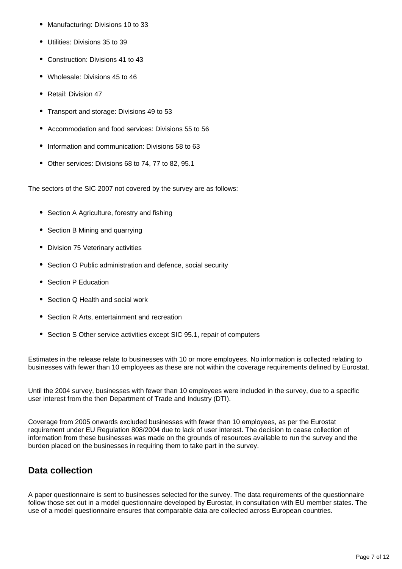- Manufacturing: Divisions 10 to 33
- Utilities: Divisions 35 to 39
- Construction: Divisions 41 to 43
- Wholesale: Divisions 45 to 46
- Retail: Division 47
- Transport and storage: Divisions 49 to 53
- Accommodation and food services: Divisions 55 to 56
- Information and communication: Divisions 58 to 63
- Other services: Divisions 68 to 74, 77 to 82, 95.1

The sectors of the SIC 2007 not covered by the survey are as follows:

- Section A Agriculture, forestry and fishing
- Section B Mining and quarrying
- Division 75 Veterinary activities
- Section O Public administration and defence, social security
- Section P Education
- Section Q Health and social work
- Section R Arts, entertainment and recreation
- Section S Other service activities except SIC 95.1, repair of computers

Estimates in the release relate to businesses with 10 or more employees. No information is collected relating to businesses with fewer than 10 employees as these are not within the coverage requirements defined by Eurostat.

Until the 2004 survey, businesses with fewer than 10 employees were included in the survey, due to a specific user interest from the then Department of Trade and Industry (DTI).

Coverage from 2005 onwards excluded businesses with fewer than 10 employees, as per the Eurostat requirement under EU Regulation 808/2004 due to lack of user interest. The decision to cease collection of information from these businesses was made on the grounds of resources available to run the survey and the burden placed on the businesses in requiring them to take part in the survey.

### **Data collection**

A paper questionnaire is sent to businesses selected for the survey. The data requirements of the questionnaire follow those set out in a model questionnaire developed by Eurostat, in consultation with EU member states. The use of a model questionnaire ensures that comparable data are collected across European countries.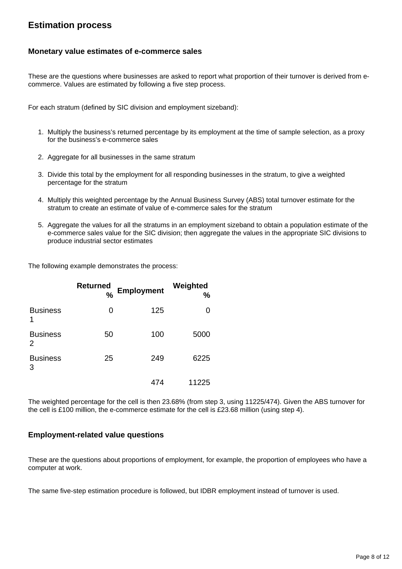### **Estimation process**

#### **Monetary value estimates of e-commerce sales**

These are the questions where businesses are asked to report what proportion of their turnover is derived from ecommerce. Values are estimated by following a five step process.

For each stratum (defined by SIC division and employment sizeband):

- 1. Multiply the business's returned percentage by its employment at the time of sample selection, as a proxy for the business's e-commerce sales
- 2. Aggregate for all businesses in the same stratum
- 3. Divide this total by the employment for all responding businesses in the stratum, to give a weighted percentage for the stratum
- 4. Multiply this weighted percentage by the Annual Business Survey (ABS) total turnover estimate for the stratum to create an estimate of value of e-commerce sales for the stratum
- 5. Aggregate the values for all the stratums in an employment sizeband to obtain a population estimate of the e-commerce sales value for the SIC division; then aggregate the values in the appropriate SIC divisions to produce industrial sector estimates

The following example demonstrates the process:

|                      | <b>Returned</b><br>% | <b>Employment</b> | Weighted<br>% |
|----------------------|----------------------|-------------------|---------------|
| <b>Business</b><br>1 | 0                    | 125               |               |
| <b>Business</b><br>2 | 50                   | 100               | 5000          |
| <b>Business</b><br>3 | 25                   | 249               | 6225          |
|                      |                      | 474               | 11225         |

The weighted percentage for the cell is then 23.68% (from step 3, using 11225/474). Given the ABS turnover for the cell is £100 million, the e-commerce estimate for the cell is £23.68 million (using step 4).

#### **Employment-related value questions**

These are the questions about proportions of employment, for example, the proportion of employees who have a computer at work.

The same five-step estimation procedure is followed, but IDBR employment instead of turnover is used.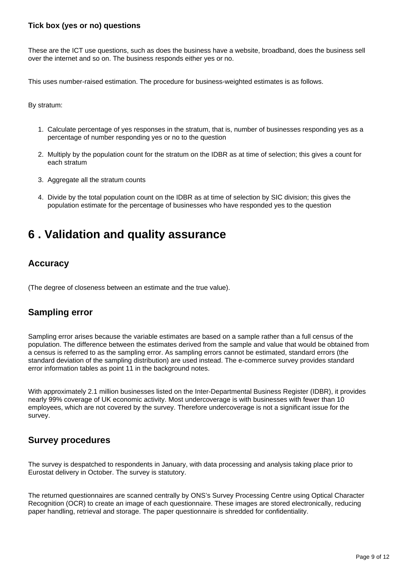#### **Tick box (yes or no) questions**

These are the ICT use questions, such as does the business have a website, broadband, does the business sell over the internet and so on. The business responds either yes or no.

This uses number-raised estimation. The procedure for business-weighted estimates is as follows.

By stratum:

- 1. Calculate percentage of yes responses in the stratum, that is, number of businesses responding yes as a percentage of number responding yes or no to the question
- 2. Multiply by the population count for the stratum on the IDBR as at time of selection; this gives a count for each stratum
- 3. Aggregate all the stratum counts
- 4. Divide by the total population count on the IDBR as at time of selection by SIC division; this gives the population estimate for the percentage of businesses who have responded yes to the question

## <span id="page-8-0"></span>**6 . Validation and quality assurance**

### **Accuracy**

(The degree of closeness between an estimate and the true value).

### **Sampling error**

Sampling error arises because the variable estimates are based on a sample rather than a full census of the population. The difference between the estimates derived from the sample and value that would be obtained from a census is referred to as the sampling error. As sampling errors cannot be estimated, standard errors (the standard deviation of the sampling distribution) are used instead. The e-commerce survey provides standard error information tables as point 11 in the background notes.

With approximately 2.1 million businesses listed on the Inter-Departmental Business Register (IDBR), it provides nearly 99% coverage of UK economic activity. Most undercoverage is with businesses with fewer than 10 employees, which are not covered by the survey. Therefore undercoverage is not a significant issue for the survey.

### **Survey procedures**

The survey is despatched to respondents in January, with data processing and analysis taking place prior to Eurostat delivery in October. The survey is statutory.

The returned questionnaires are scanned centrally by ONS's Survey Processing Centre using Optical Character Recognition (OCR) to create an image of each questionnaire. These images are stored electronically, reducing paper handling, retrieval and storage. The paper questionnaire is shredded for confidentiality.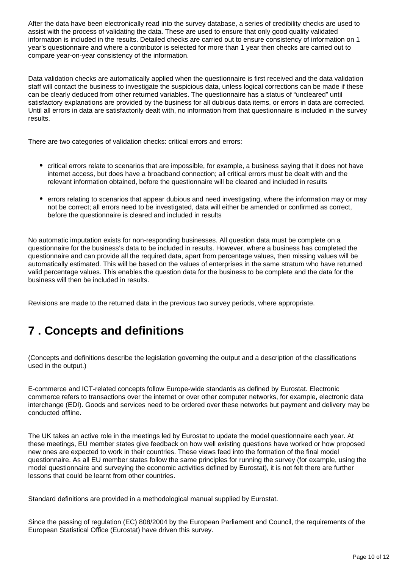After the data have been electronically read into the survey database, a series of credibility checks are used to assist with the process of validating the data. These are used to ensure that only good quality validated information is included in the results. Detailed checks are carried out to ensure consistency of information on 1 year's questionnaire and where a contributor is selected for more than 1 year then checks are carried out to compare year-on-year consistency of the information.

Data validation checks are automatically applied when the questionnaire is first received and the data validation staff will contact the business to investigate the suspicious data, unless logical corrections can be made if these can be clearly deduced from other returned variables. The questionnaire has a status of "uncleared" until satisfactory explanations are provided by the business for all dubious data items, or errors in data are corrected. Until all errors in data are satisfactorily dealt with, no information from that questionnaire is included in the survey results.

There are two categories of validation checks: critical errors and errors:

- critical errors relate to scenarios that are impossible, for example, a business saying that it does not have internet access, but does have a broadband connection; all critical errors must be dealt with and the relevant information obtained, before the questionnaire will be cleared and included in results
- errors relating to scenarios that appear dubious and need investigating, where the information may or may not be correct; all errors need to be investigated, data will either be amended or confirmed as correct, before the questionnaire is cleared and included in results

No automatic imputation exists for non-responding businesses. All question data must be complete on a questionnaire for the business's data to be included in results. However, where a business has completed the questionnaire and can provide all the required data, apart from percentage values, then missing values will be automatically estimated. This will be based on the values of enterprises in the same stratum who have returned valid percentage values. This enables the question data for the business to be complete and the data for the business will then be included in results.

Revisions are made to the returned data in the previous two survey periods, where appropriate.

## <span id="page-9-0"></span>**7 . Concepts and definitions**

(Concepts and definitions describe the legislation governing the output and a description of the classifications used in the output.)

E-commerce and ICT-related concepts follow Europe-wide standards as defined by Eurostat. Electronic commerce refers to transactions over the internet or over other computer networks, for example, electronic data interchange (EDI). Goods and services need to be ordered over these networks but payment and delivery may be conducted offline.

The UK takes an active role in the meetings led by Eurostat to update the model questionnaire each year. At these meetings, EU member states give feedback on how well existing questions have worked or how proposed new ones are expected to work in their countries. These views feed into the formation of the final model questionnaire. As all EU member states follow the same principles for running the survey (for example, using the model questionnaire and surveying the economic activities defined by Eurostat), it is not felt there are further lessons that could be learnt from other countries.

Standard definitions are provided in a methodological manual supplied by Eurostat.

Since the passing of regulation (EC) 808/2004 by the European Parliament and Council, the requirements of the European Statistical Office (Eurostat) have driven this survey.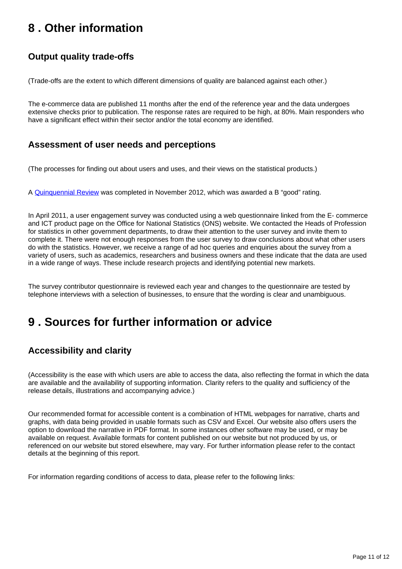## <span id="page-10-0"></span>**8 . Other information**

## **Output quality trade-offs**

(Trade-offs are the extent to which different dimensions of quality are balanced against each other.)

The e-commerce data are published 11 months after the end of the reference year and the data undergoes extensive checks prior to publication. The response rates are required to be high, at 80%. Main responders who have a significant effect within their sector and/or the total economy are identified.

### **Assessment of user needs and perceptions**

(The processes for finding out about users and uses, and their views on the statistical products.)

A [Quinquennial Review](http://webarchive.nationalarchives.gov.uk/20160105160709/http:/www.ons.gov.uk/ons/guide-method/method-quality/quality/triennial-reviews/triennial-review-for-the-e-commerce-and-ict-activity-survey-2012.pdf) was completed in November 2012, which was awarded a B "good" rating.

In April 2011, a user engagement survey was conducted using a web questionnaire linked from the E- commerce and ICT product page on the Office for National Statistics (ONS) website. We contacted the Heads of Profession for statistics in other government departments, to draw their attention to the user survey and invite them to complete it. There were not enough responses from the user survey to draw conclusions about what other users do with the statistics. However, we receive a range of ad hoc queries and enquiries about the survey from a variety of users, such as academics, researchers and business owners and these indicate that the data are used in a wide range of ways. These include research projects and identifying potential new markets.

The survey contributor questionnaire is reviewed each year and changes to the questionnaire are tested by telephone interviews with a selection of businesses, to ensure that the wording is clear and unambiguous.

## <span id="page-10-1"></span>**9 . Sources for further information or advice**

### **Accessibility and clarity**

(Accessibility is the ease with which users are able to access the data, also reflecting the format in which the data are available and the availability of supporting information. Clarity refers to the quality and sufficiency of the release details, illustrations and accompanying advice.)

Our recommended format for accessible content is a combination of HTML webpages for narrative, charts and graphs, with data being provided in usable formats such as CSV and Excel. Our website also offers users the option to download the narrative in PDF format. In some instances other software may be used, or may be available on request. Available formats for content published on our website but not produced by us, or referenced on our website but stored elsewhere, may vary. For further information please refer to the contact details at the beginning of this report.

For information regarding conditions of access to data, please refer to the following links: